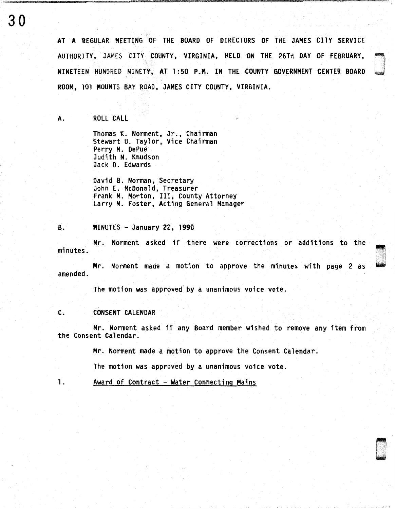30 AT A REGULAR MEETING OF THE BOARD OF DIRECTORS OF THE JAMES CITY SERVICE AUTHORITY, JAMES CITY COUNTY, VIRGINIA, HELD ON THE 26TH DAY OF FEBRUARY,

> NINETEEN HUNDRED NINETY, AT 1:50 P.M. IN THE COUNTY GOVERNMENT CENTER BOARD ROOM, 101 MOUNTS BAY ROAD, JAMES CITY COUNTY, VIRGINIA.

A. ROLL CALL

Thomas K. Norment, Jr., Chairman Stewart U. Taylor, Vice Chairman Perry M. DePue Judith N. Knudson Jack D. Edwards

David B. Norman, Secretary John E. McDonald, Treasurer Frank M. Morton, III, County Attorney Larry M. Foster, Acting General Manager

## B. MINUTES - January 22, 1990

Mr. Norment asked if there were corrections or additions to the minutes.

Mr. Norment made a motion to approve the minutes with page 2 as amended.

The motion was approved by a unanimous voice vote.

## C. CONSENT CALENDAR

Mr. Norment asked if any Board member wished to remove any item from the Consent Calendar.

Mr. Norment made a motion to approve the Consent Calendar.

The motion was approved by a unanimous voice vote.

1. Award of Contract - Water Connecting Mains